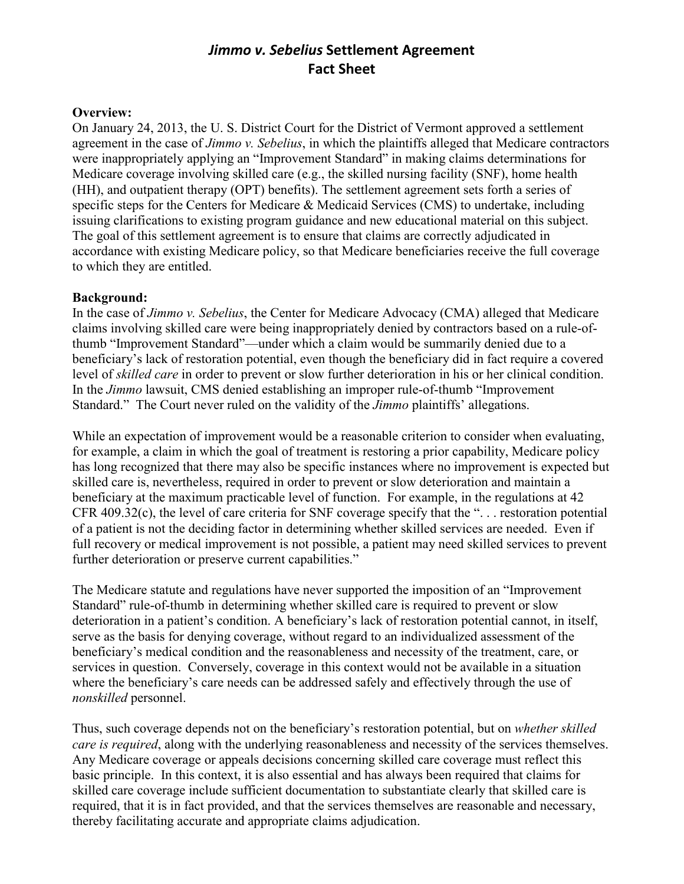# **Jimmo v. Sebelius Settlement Agreement Fact Sheet**

#### **Overview:**

On January 24, 2013, the U. S. District Court for the District of Vermont approved a settlement agreement in the case of *Jimmo v. Sebelius*, in which the plaintiffs alleged that Medicare contractors were inappropriately applying an "Improvement Standard" in making claims determinations for Medicare coverage involving skilled care (e.g., the skilled nursing facility (SNF), home health (HH), and outpatient therapy (OPT) benefits). The settlement agreement sets forth a series of specific steps for the Centers for Medicare & Medicaid Services (CMS) to undertake, including issuing clarifications to existing program guidance and new educational material on this subject. The goal of this settlement agreement is to ensure that claims are correctly adjudicated in accordance with existing Medicare policy, so that Medicare beneficiaries receive the full coverage to which they are entitled.

#### **Background:**

In the case of *Jimmo v. Sebelius*, the Center for Medicare Advocacy (CMA) alleged that Medicare claims involving skilled care were being inappropriately denied by contractors based on a rule-ofthumb "Improvement Standard"—under which a claim would be summarily denied due to a beneficiary's lack of restoration potential, even though the beneficiary did in fact require a covered level of *skilled care* in order to prevent or slow further deterioration in his or her clinical condition. In the *Jimmo* lawsuit, CMS denied establishing an improper rule-of-thumb "Improvement Standard." The Court never ruled on the validity of the *Jimmo* plaintiffs' allegations.

While an expectation of improvement would be a reasonable criterion to consider when evaluating, for example, a claim in which the goal of treatment is restoring a prior capability, Medicare policy has long recognized that there may also be specific instances where no improvement is expected but skilled care is, nevertheless, required in order to prevent or slow deterioration and maintain a beneficiary at the maximum practicable level of function. For example, in the regulations at 42 CFR 409.32(c), the level of care criteria for SNF coverage specify that the ". . . restoration potential of a patient is not the deciding factor in determining whether skilled services are needed. Even if full recovery or medical improvement is not possible, a patient may need skilled services to prevent further deterioration or preserve current capabilities."

The Medicare statute and regulations have never supported the imposition of an "Improvement Standard" rule-of-thumb in determining whether skilled care is required to prevent or slow deterioration in a patient's condition. A beneficiary's lack of restoration potential cannot, in itself, serve as the basis for denying coverage, without regard to an individualized assessment of the beneficiary's medical condition and the reasonableness and necessity of the treatment, care, or services in question. Conversely, coverage in this context would not be available in a situation where the beneficiary's care needs can be addressed safely and effectively through the use of *nonskilled* personnel.

Thus, such coverage depends not on the beneficiary's restoration potential, but on *whether skilled care is required*, along with the underlying reasonableness and necessity of the services themselves. Any Medicare coverage or appeals decisions concerning skilled care coverage must reflect this basic principle. In this context, it is also essential and has always been required that claims for skilled care coverage include sufficient documentation to substantiate clearly that skilled care is required, that it is in fact provided, and that the services themselves are reasonable and necessary, thereby facilitating accurate and appropriate claims adjudication.